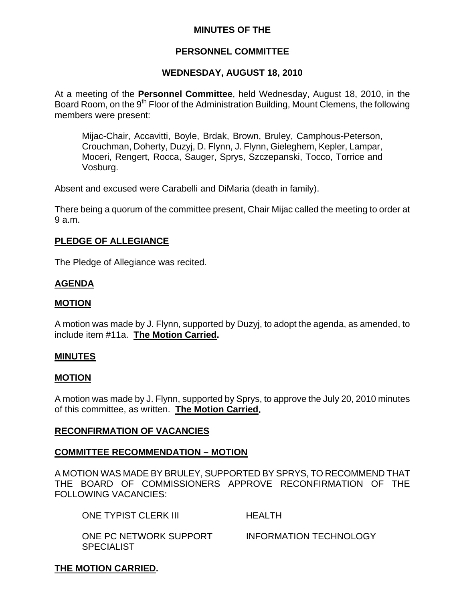## **MINUTES OF THE**

## **PERSONNEL COMMITTEE**

## **WEDNESDAY, AUGUST 18, 2010**

At a meeting of the **Personnel Committee**, held Wednesday, August 18, 2010, in the Board Room, on the 9<sup>th</sup> Floor of the Administration Building, Mount Clemens, the following members were present:

Mijac-Chair, Accavitti, Boyle, Brdak, Brown, Bruley, Camphous-Peterson, Crouchman, Doherty, Duzyj, D. Flynn, J. Flynn, Gieleghem, Kepler, Lampar, Moceri, Rengert, Rocca, Sauger, Sprys, Szczepanski, Tocco, Torrice and Vosburg.

Absent and excused were Carabelli and DiMaria (death in family).

There being a quorum of the committee present, Chair Mijac called the meeting to order at 9 a.m.

## **PLEDGE OF ALLEGIANCE**

The Pledge of Allegiance was recited.

## **AGENDA**

### **MOTION**

A motion was made by J. Flynn, supported by Duzyj, to adopt the agenda, as amended, to include item #11a. **The Motion Carried.** 

#### **MINUTES**

#### **MOTION**

A motion was made by J. Flynn, supported by Sprys, to approve the July 20, 2010 minutes of this committee, as written. **The Motion Carried.** 

## **RECONFIRMATION OF VACANCIES**

#### **COMMITTEE RECOMMENDATION – MOTION**

A MOTION WAS MADE BY BRULEY, SUPPORTED BY SPRYS, TO RECOMMEND THAT THE BOARD OF COMMISSIONERS APPROVE RECONFIRMATION OF THE FOLLOWING VACANCIES:

ONE TYPIST CLERK III HEALTH

**SPECIALIST** 

ONE PC NETWORK SUPPORT INFORMATION TECHNOLOGY

## **THE MOTION CARRIED.**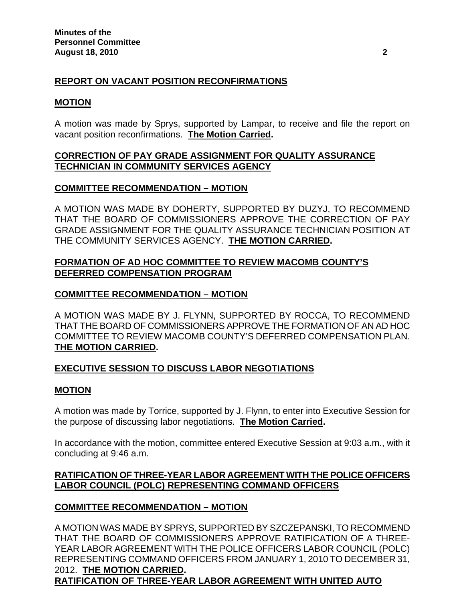# **REPORT ON VACANT POSITION RECONFIRMATIONS**

### **MOTION**

A motion was made by Sprys, supported by Lampar, to receive and file the report on vacant position reconfirmations. **The Motion Carried.** 

## **CORRECTION OF PAY GRADE ASSIGNMENT FOR QUALITY ASSURANCE TECHNICIAN IN COMMUNITY SERVICES AGENCY**

### **COMMITTEE RECOMMENDATION – MOTION**

A MOTION WAS MADE BY DOHERTY, SUPPORTED BY DUZYJ, TO RECOMMEND THAT THE BOARD OF COMMISSIONERS APPROVE THE CORRECTION OF PAY GRADE ASSIGNMENT FOR THE QUALITY ASSURANCE TECHNICIAN POSITION AT THE COMMUNITY SERVICES AGENCY. **THE MOTION CARRIED.** 

## **FORMATION OF AD HOC COMMITTEE TO REVIEW MACOMB COUNTY'S DEFERRED COMPENSATION PROGRAM**

## **COMMITTEE RECOMMENDATION – MOTION**

A MOTION WAS MADE BY J. FLYNN, SUPPORTED BY ROCCA, TO RECOMMEND THAT THE BOARD OF COMMISSIONERS APPROVE THE FORMATION OF AN AD HOC COMMITTEE TO REVIEW MACOMB COUNTY'S DEFERRED COMPENSATION PLAN. **THE MOTION CARRIED.** 

## **EXECUTIVE SESSION TO DISCUSS LABOR NEGOTIATIONS**

#### **MOTION**

A motion was made by Torrice, supported by J. Flynn, to enter into Executive Session for the purpose of discussing labor negotiations. **The Motion Carried.** 

In accordance with the motion, committee entered Executive Session at 9:03 a.m., with it concluding at 9:46 a.m.

## **RATIFICATION OF THREE-YEAR LABOR AGREEMENT WITH THE POLICE OFFICERS LABOR COUNCIL (POLC) REPRESENTING COMMAND OFFICERS**

## **COMMITTEE RECOMMENDATION – MOTION**

A MOTION WAS MADE BY SPRYS, SUPPORTED BY SZCZEPANSKI, TO RECOMMEND THAT THE BOARD OF COMMISSIONERS APPROVE RATIFICATION OF A THREE-YEAR LABOR AGREEMENT WITH THE POLICE OFFICERS LABOR COUNCIL (POLC) REPRESENTING COMMAND OFFICERS FROM JANUARY 1, 2010 TO DECEMBER 31, 2012. **THE MOTION CARRIED.** 

## **RATIFICATION OF THREE-YEAR LABOR AGREEMENT WITH UNITED AUTO**